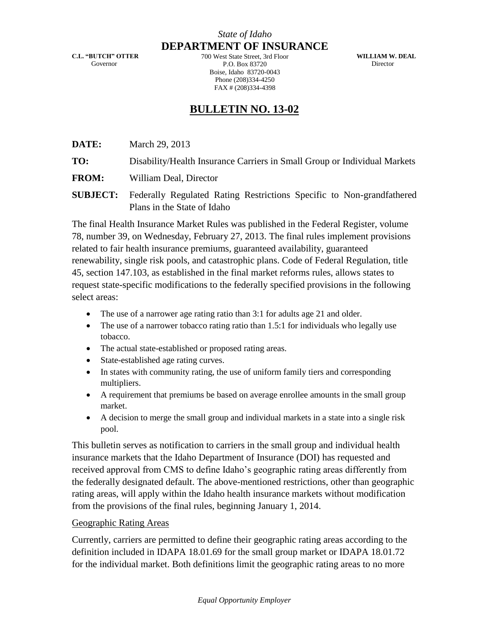**C.L. "BUTCH" OTTER** Governor

**DEPARTMENT OF INSURANCE** 700 West State Street, 3rd Floor P.O. Box 83720 Boise, Idaho 83720-0043 Phone (208)334-4250 FAX # (208)334-4398

**WILLIAM W. DEAL Director** 

## **BULLETIN NO. 13-02**

**DATE:** March 29, 2013

**TO:** Disability/Health Insurance Carriers in Small Group or Individual Markets

**FROM:** William Deal, Director

**SUBJECT:** Federally Regulated Rating Restrictions Specific to Non-grandfathered Plans in the State of Idaho

The final Health Insurance Market Rules was published in the Federal Register, volume 78, number 39, on Wednesday, February 27, 2013. The final rules implement provisions related to fair health insurance premiums, guaranteed availability, guaranteed renewability, single risk pools, and catastrophic plans. Code of Federal Regulation, title 45, section 147.103, as established in the final market reforms rules, allows states to request state-specific modifications to the federally specified provisions in the following select areas:

- The use of a narrower age rating ratio than 3:1 for adults age 21 and older.
- The use of a narrower tobacco rating ratio than 1.5:1 for individuals who legally use tobacco.
- The actual state-established or proposed rating areas.
- State-established age rating curves.
- In states with community rating, the use of uniform family tiers and corresponding multipliers.
- A requirement that premiums be based on average enrollee amounts in the small group market.
- A decision to merge the small group and individual markets in a state into a single risk pool.

This bulletin serves as notification to carriers in the small group and individual health insurance markets that the Idaho Department of Insurance (DOI) has requested and received approval from CMS to define Idaho's geographic rating areas differently from the federally designated default. The above-mentioned restrictions, other than geographic rating areas, will apply within the Idaho health insurance markets without modification from the provisions of the final rules, beginning January 1, 2014.

## Geographic Rating Areas

Currently, carriers are permitted to define their geographic rating areas according to the definition included in IDAPA 18.01.69 for the small group market or IDAPA 18.01.72 for the individual market. Both definitions limit the geographic rating areas to no more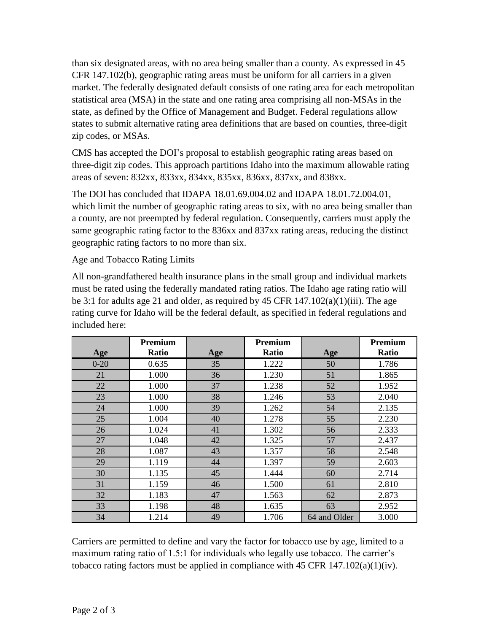than six designated areas, with no area being smaller than a county. As expressed in 45 CFR 147.102(b), geographic rating areas must be uniform for all carriers in a given market. The federally designated default consists of one rating area for each metropolitan statistical area (MSA) in the state and one rating area comprising all non-MSAs in the state, as defined by the Office of Management and Budget. Federal regulations allow states to submit alternative rating area definitions that are based on counties, three-digit zip codes, or MSAs.

CMS has accepted the DOI's proposal to establish geographic rating areas based on three-digit zip codes. This approach partitions Idaho into the maximum allowable rating areas of seven: 832xx, 833xx, 834xx, 835xx, 836xx, 837xx, and 838xx.

The DOI has concluded that IDAPA 18.01.69.004.02 and IDAPA 18.01.72.004.01, which limit the number of geographic rating areas to six, with no area being smaller than a county, are not preempted by federal regulation. Consequently, carriers must apply the same geographic rating factor to the 836xx and 837xx rating areas, reducing the distinct geographic rating factors to no more than six.

## Age and Tobacco Rating Limits

All non-grandfathered health insurance plans in the small group and individual markets must be rated using the federally mandated rating ratios. The Idaho age rating ratio will be 3:1 for adults age 21 and older, as required by 45 CFR  $147.102(a)(1)(iii)$ . The age rating curve for Idaho will be the federal default, as specified in federal regulations and included here:

|          | Premium |     | Premium |              | Premium |
|----------|---------|-----|---------|--------------|---------|
| Age      | Ratio   | Age | Ratio   | Age          | Ratio   |
| $0 - 20$ | 0.635   | 35  | 1.222   | 50           | 1.786   |
| 21       | 1.000   | 36  | 1.230   | 51           | 1.865   |
| 22       | 1.000   | 37  | 1.238   | 52           | 1.952   |
| 23       | 1.000   | 38  | 1.246   | 53           | 2.040   |
| 24       | 1.000   | 39  | 1.262   | 54           | 2.135   |
| 25       | 1.004   | 40  | 1.278   | 55           | 2.230   |
| 26       | 1.024   | 41  | 1.302   | 56           | 2.333   |
| 27       | 1.048   | 42  | 1.325   | 57           | 2.437   |
| 28       | 1.087   | 43  | 1.357   | 58           | 2.548   |
| 29       | 1.119   | 44  | 1.397   | 59           | 2.603   |
| 30       | 1.135   | 45  | 1.444   | 60           | 2.714   |
| 31       | 1.159   | 46  | 1.500   | 61           | 2.810   |
| 32       | 1.183   | 47  | 1.563   | 62           | 2.873   |
| 33       | 1.198   | 48  | 1.635   | 63           | 2.952   |
| 34       | 1.214   | 49  | 1.706   | 64 and Older | 3.000   |

Carriers are permitted to define and vary the factor for tobacco use by age, limited to a maximum rating ratio of 1.5:1 for individuals who legally use tobacco. The carrier's tobacco rating factors must be applied in compliance with 45 CFR  $147.102(a)(1)(iv)$ .